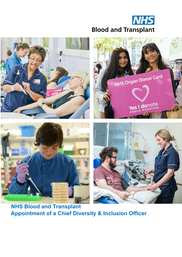



**NHS Blood and Transplant Appointment of a Chief Diversity & Inclusion Officer**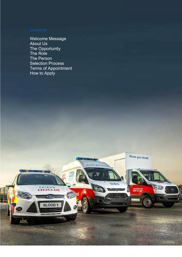Welcome Message About Us The Opportunity The Role The Person Selection Process Terms of Appointment How to Apply

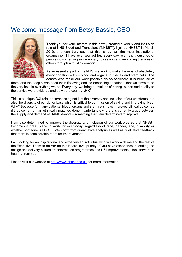### Welcome message from Betsy Bassis, CEO



Thank you for your interest in this newly created diversity and inclusion role at NHS Blood and Transplant ('NHSBT'). I joined NHSBT in March 2019, and can truly say that this is, by far, the most inspirational organisation I have ever worked for. Every day, we help thousands of people do something extraordinary, by saving and improving the lives of others through altruistic donation.

As an essential part of the NHS, we work to make the most of absolutely every donation – from blood and organs to tissues and stem cells. The donors who make our work possible do so selflessly. It is because of

them, and the people who need their lifesaving and life-enhancing donations, that we strive to be the very best in everything we do. Every day, we bring our values of caring, expert and quality to the service we provide up and down the country, 24/7.

This is a unique D&I role, encompassing not just the diversity and inclusion of our workforce, but also the diversity of our donor base which is critical to our mission of saving and improving lives. Why? Because for many patients, blood, organs and stem cells have improved clinical outcomes if they come from an ethnically matched donor. Unfortunately, there is currently a gap between the supply and demand of BAME donors - something that I am determined to improve.

I am also determined to improve the diversity and inclusion of our workforce so that NHSBT becomes a great place to work for *everybody*, regardless of race, gender, age, disability or whether someone is LGBT+. We know from quantitative analysis as well as qualitative feedback that there is considerable room for improvement.

I am looking for an inspirational and experienced individual who will work with me and the rest of the Executive Team to deliver on this Board-level priority. If you have experience in leading the design and delivery cultural transformation programmes and D&I improvements, I look forward to hearing from you.

Please visit our website at http://www.nhsbt.nhs.uk/ for more information.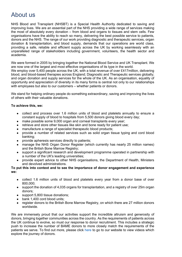### About us

NHS Blood and Transplant (NHSBT) is a Special Health Authority dedicated to saving and improving lives. We are an essential part of the NHS providing a wide range of services making the most of absolutely every donation – from blood and organs to tissues and stem cells. Few organisations have the ability to reach so many, delivering the best possible service to patients, donors and the NHS. The range of our work providing diagnostic and therapeutic services, organ donation & transplantation, and blood supply, demands that our operations are world class, providing a safe, reliable and efficient supply across the UK by working seamlessly with an unparalleled range of stakeholders including government, volunteers, the health sector and academia.

We were formed in 2005 by bringing together the National Blood Service and UK Transplant. We are now one of the largest and most effective organisations of its type in the world. We employ over 5,400 people across the UK, with a total revenue of over £417 million, delivering blood, and blood-based therapies across England; Diagnostic and Therapeutic services globally; and organ donation and supply services for the whole of the UK. As an organisation, equality of opportunity and appreciation of diversity in its many forms is central not only to our relationships with employees but also to our customers – whether patients or donors.

We stand for helping ordinary people do something extraordinary, saving and improving the lives of others with their valuable donations.

### **To achieve this, we:**

- collect and process over 1.6 million units of blood and platelets annually to ensure a constant supply of blood to hospitals from 5,500 donors giving blood every day;
- make possible some 9,000 organ and corneal transplants every year;
- retrieve and store other tissues like skin and bone ready for patient use;
- manufacture a range of specialist therapeutic blood products;
- provide a number of related services such as solid organ tissue typing and cord blood banking;
- provide apheresis services directly to patients;
- manage the NHS Organ Donor Register (which currently has nearly 25 million names) and the British Bone Marrow Registry;
- support a significant research and development programme operated in partnership with a number of the UK's leading universities;
- provide expert advice to other NHS organisations, the Department of Health, Ministers and devolved administrations.

### **To put this into context and to see the importance of donor engagement and experience we:**

- collect 1.6 million units of blood and platelets every year from a donor base of over 800,000;
- support the donation of 4,035 organs for transplantation, and a registry of over 25m organ donors;
- support 5,800 tissue donations;
- bank 1,400 cord blood units;
- register donors to the British Bone Marrow Registry, on which there are 27 million donors worldwide.

We are immensely proud that our activities support the incredible altruism and generosity of donors, bringing together communities across the country. As the requirements of patients across the UK continue to evolve, so must our response to donor recruitment. This includes a strategic push to increase the number of BAME donors to more closely match the requirements of the patients we serve. To find out more, please click here to go to our website to view videos which explore the journey of donors.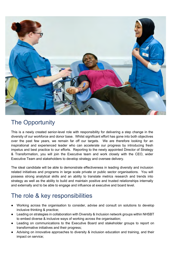

## The Opportunity

This is a newly created senior-level role with responsibility for delivering a step change in the diversity of our workforce and donor base. Whilst significant effort has gone into both objectives over the past few years, we remain far off our targets. We are therefore looking for an inspirational and experienced leader who can accelerate our progress by introducing fresh impetus and best practice to our efforts. Reporting to the newly appointed Director of Strategy & Transformation, you will join the Executive team and work closely with the CEO, wider Executive Team and stakeholders to develop strategy and oversee delivery.

The ideal candidate will be able to demonstrate effectiveness in leading diversity and inclusion related initiatives and programs in large scale private or public sector organisations. You will possess strong analytical skills and an ability to translate metrics research and trends into strategy as well as the ability to build and maintain positive and trusted relationships internally and externally and to be able to engage and influence at executive and board level.

## The role & key responsibilities

- Working across the organisation to consider, advise and consult on solutions to develop inclusive thinking & practice;
- Leading on strategies in collaboration with Diversity & Inclusion network groups within NHSBT to embed diverse & inclusive ways of working across the organisation;
- Leading on communications to the Executive Board and stakeholder groups to report on transformative initiatives and their progress;
- Advising on innovative approaches to diversity & inclusion education and training, and their impact on service;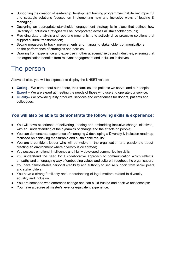- Supporting the creation of leadership development training programmes that deliver impactful and strategic solutions focused on implementing new and inclusive ways of leading & managing;
- Designing an appropriate stakeholder engagement strategy is in place that defines how Diversity & Inclusion strategies will be incorporated across all stakeholder groups;
- Providing data analysis and reporting mechanisms to actively drive proactive solutions that support cultural transformation;
- Setting measures to track improvements and managing stakeholder communications on the performance of strategies and policies;
- Drawing from experience and expertise in other academic fields and industries, ensuring that the organisation benefits from relevant engagement and inclusion initiatives.

# The person

Above all else, you will be expected to display the NHSBT values:

- **Caring** We care about our donors, their families, the patients we serve, and our people.
- **Expert –** We are expert at meeting the needs of those who use and operate our service.
- **Quality–** We provide quality products, services and experiences for donors, patients and colleagues.

### **You will also be able to demonstrate the following skills & experience:**

- You will have experience of delivering, leading and embedding inclusive change initiatives, with an understanding of the dynamics of change and the effects on people;
- You can demonstrate experience of managing & developing a Diversity & inclusion roadmap focussed on achieving measurable and sustainable results;
- You are a confident leader who will be visible in the organisation and passionate about creating an environment where diversity is celebrated;
- You possess emotional intelligence and highly developed communication skills;
- You understand the need for a collaborative approach to communication which reflects empathy and an engaging way of embedding values and culture throughout the organisation;
- You have demonstrable personal credibility and authority to secure support from senior peers and stakeholders;
- You have a strong familiarity and understanding of legal matters related to diversity, equality and inclusion.
- You are someone who embraces change and can build trusted and positive relationships;
- You have a degree at master's level or equivalent experience.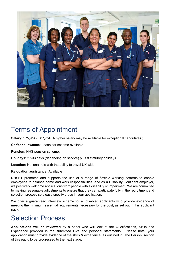

# Terms of Appointment

**Salary:** £75,914 - £87,754 (A higher salary may be available for exceptional candidates.)

**Car/car allowance**: Lease car scheme available.

**Pension:** NHS pension scheme.

**Holidays:** 27-33 days (depending on service) plus 8 statutory holidays.

**Location:** National role with the ability to travel UK wide.

### **Relocation assistance:** Available

NHSBT promotes and supports the use of a range of flexible working patterns to enable employees to balance home and work responsibilities, and as a Disability Confident employer, we positively welcome applications from people with a disability or impairment. We are committed to making reasonable adjustments to ensure that they can participate fully in the recruitment and selection process so please specify these in your application.

We offer a guaranteed interview scheme for all disabled applicants who provide evidence of meeting the minimum essential requirements necessary for the post, as set out in this applicant pack.

# Selection Process

**Applications will be reviewed** by a panel who will look at the Qualifications, Skills and Experience provided in the submitted CVs and personal statements. Please note, your application must provide evidence of the skills & experience, as outlined in 'The Person' section of this pack, to be progressed to the next stage.